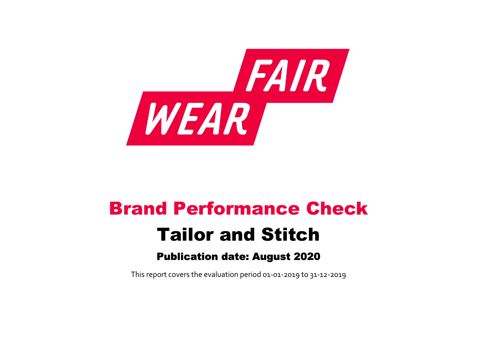

# Brand Performance Check Tailor and Stitch

# Publication date: August 2020

This report covers the evaluation period 01‐01‐2019 to 31‐12‐2019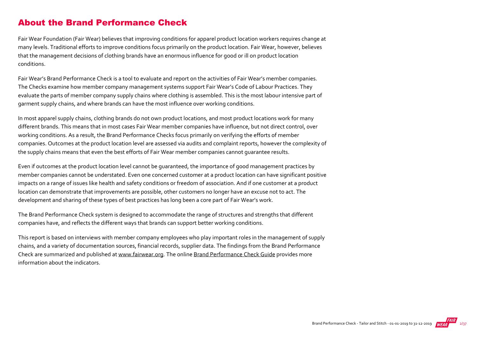## About the Brand Performance Check

Fair Wear Foundation (Fair Wear) believes that improving conditions for apparel product location workers requires change at many levels. Traditional efforts to improve conditions focus primarily on the product location. Fair Wear, however, believes that the management decisions of clothing brands have an enormous influence for good or ill on product location conditions.

Fair Wear's Brand Performance Check is a tool to evaluate and report on the activities of Fair Wear's member companies. The Checks examine how member company management systems support Fair Wear's Code of Labour Practices. They evaluate the parts of member company supply chains where clothing is assembled. This is the most labour intensive part of garment supply chains, and where brands can have the most influence over working conditions.

In most apparel supply chains, clothing brands do not own product locations, and most product locations work for many different brands. This means that in most cases Fair Wear member companies have influence, but not direct control, over working conditions. As a result, the Brand Performance Checks focus primarily on verifying the efforts of member companies. Outcomes at the product location level are assessed via audits and complaint reports, however the complexity of the supply chains means that even the best efforts of Fair Wear member companies cannot guarantee results.

Even if outcomes at the product location level cannot be guaranteed, the importance of good management practices by member companies cannot be understated. Even one concerned customer at a product location can have significant positive impacts on a range of issues like health and safety conditions or freedom of association. And if one customer at a product location can demonstrate that improvements are possible, other customers no longer have an excuse not to act. The development and sharing of these types of best practices has long been a core part of Fair Wear's work.

The Brand Performance Check system is designed to accommodate the range of structures and strengths that different companies have, and reflects the different ways that brands can support better working conditions.

This report is based on interviews with member company employees who play important roles in the management of supply chains, and a variety of documentation sources, financial records, supplier data. The findings from the Brand Performance Check are summarized and published at [www.fairwear.org](http://www.fairwear.org/). The online [Brand Performance Check Guide](https://api.fairwear.org/wp-content/uploads/2020/03/FWF_BrandPerformanceCheckGuide-DEF.pdf) provides more information about the indicators.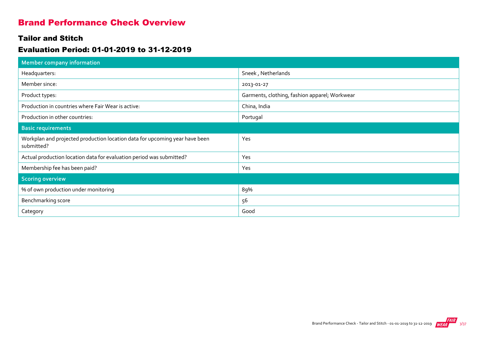## Brand Performance Check Overview

### Tailor and Stitch

## Evaluation Period: 01-01-2019 to 31-12-2019

| Member company information                                                                |                                               |
|-------------------------------------------------------------------------------------------|-----------------------------------------------|
| Headquarters:                                                                             | Sneek, Netherlands                            |
| Member since:                                                                             | 2013-01-27                                    |
| Product types:                                                                            | Garments, clothing, fashion apparel; Workwear |
| Production in countries where Fair Wear is active:                                        | China, India                                  |
| Production in other countries:                                                            | Portugal                                      |
| <b>Basic requirements</b>                                                                 |                                               |
| Workplan and projected production location data for upcoming year have been<br>submitted? | Yes                                           |
| Actual production location data for evaluation period was submitted?                      | Yes                                           |
| Membership fee has been paid?                                                             | Yes                                           |
| <b>Scoring overview</b>                                                                   |                                               |
| % of own production under monitoring                                                      | 89%                                           |
| Benchmarking score                                                                        | 56                                            |
| Category                                                                                  | Good                                          |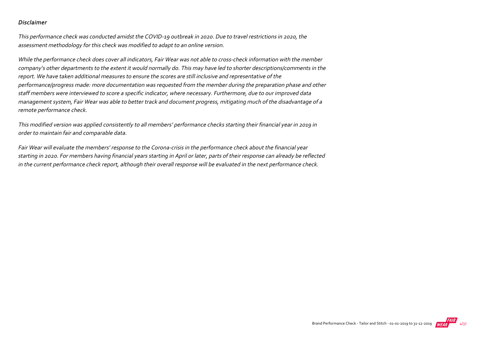#### Disclaimer

This performance check was conducted amidst the COVID‐19 outbreak in 2020. Due to travel restrictions in 2020, the assessment methodology for this check was modified to adapt to an online version.

While the performance check does cover all indicators, Fair Wear was not able to cross-check information with the member company's other departments to the extent it would normally do. This may have led to shorter descriptions/comments in the report. We have taken additional measures to ensure the scores are still inclusive and representative of the performance/progress made: more documentation was requested from the member during the preparation phase and other staff members were interviewed to score a specific indicator, where necessary. Furthermore, due to our improved data management system, Fair Wear was able to better track and document progress, mitigating much of the disadvantage of a remote performance check.

This modified version was applied consistently to all members' performance checks starting their financial year in 2019 in order to maintain fair and comparable data.

Fair Wear will evaluate the members' response to the Corona‐crisis in the performance check about the financial year starting in 2020. For members having financial years starting in April or later, parts of their response can already be reflected in the current performance check report, although their overall response will be evaluated in the next performance check.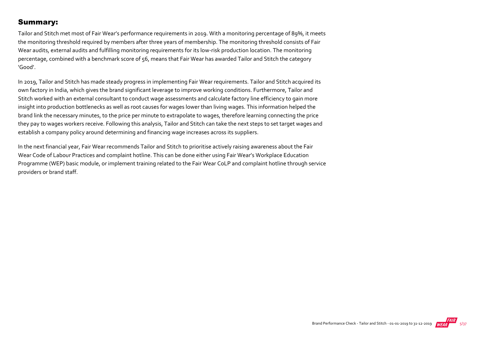## Summary:

Tailor and Stitch met most of Fair Wear's performance requirements in 2019. With a monitoring percentage of 89%, it meets the monitoring threshold required by members after three years of membership. The monitoring threshold consists of Fair Wear audits, external audits and fulfilling monitoring requirements for its low‐risk production location. The monitoring percentage, combined with a benchmark score of 56, means that Fair Wear has awarded Tailor and Stitch the category 'Good'.

In 2019, Tailor and Stitch has made steady progress in implementing Fair Wear requirements. Tailor and Stitch acquired its own factory in India, which gives the brand significant leverage to improve working conditions. Furthermore, Tailor and Stitch worked with an external consultant to conduct wage assessments and calculate factory line efficiency to gain more insight into production bottlenecks as well as root causes for wages lower than living wages. This information helped the brand link the necessary minutes, to the price per minute to extrapolate to wages, therefore learning connecting the price they pay to wages workers receive. Following this analysis, Tailor and Stitch can take the next steps to set target wages and establish a company policy around determining and financing wage increases across its suppliers.

In the next financial year, Fair Wear recommends Tailor and Stitch to prioritise actively raising awareness about the Fair Wear Code of Labour Practices and complaint hotline. This can be done either using Fair Wear's Workplace Education Programme (WEP) basic module, or implement training related to the Fair Wear CoLP and complaint hotline through service providers or brand staff.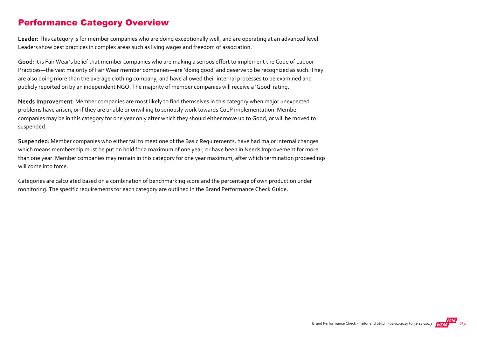## Performance Category Overview

Leader: This category is for member companies who are doing exceptionally well, and are operating at an advanced level. Leaders show best practices in complex areas such as living wages and freedom of association.

Good: It is Fair Wear's belief that member companies who are making a serious effort to implement the Code of Labour Practices—the vast majority of Fair Wear member companies—are 'doing good' and deserve to be recognized as such. They are also doing more than the average clothing company, and have allowed their internal processes to be examined and publicly reported on by an independent NGO. The majority of member companies will receive a 'Good' rating.

Needs Improvement: Member companies are most likely to find themselves in this category when major unexpected problems have arisen, or if they are unable or unwilling to seriously work towards CoLP implementation. Member companies may be in this category for one year only after which they should either move up to Good, or will be moved to suspended.

Suspended: Member companies who either fail to meet one of the Basic Requirements, have had major internal changes which means membership must be put on hold for a maximum of one year, or have been in Needs Improvement for more than one year. Member companies may remain in this category for one year maximum, after which termination proceedings will come into force.

Categories are calculated based on a combination of benchmarking score and the percentage of own production under monitoring. The specific requirements for each category are outlined in the Brand Performance Check Guide.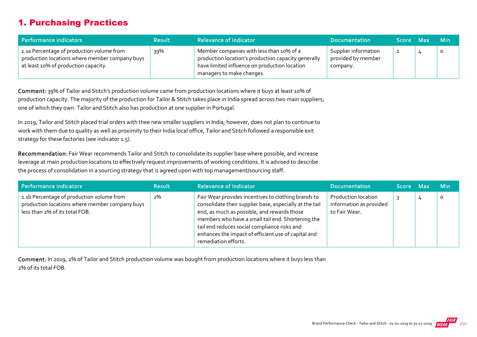# 1. Purchasing Practices

| Performance indicators                                                                                                              | <b>Result</b> | <b>Relevance of Indicator</b>                                                                                                                                                 | <b>Documentation</b>                                   | Score Max | <b>Min</b> |
|-------------------------------------------------------------------------------------------------------------------------------------|---------------|-------------------------------------------------------------------------------------------------------------------------------------------------------------------------------|--------------------------------------------------------|-----------|------------|
| 1.1a Percentage of production volume from<br>production locations where member company buys<br>at least 10% of production capacity. | 39%           | Member companies with less than 10% of a<br>production location's production capacity generally<br>have limited influence on production location<br>managers to make changes. | Supplier information<br>provided by member<br>company. | 2         | $\circ$    |

Comment: 39% of Tailor and Stitch's production volume came from production locations where it buys at least 10% of production capacity. The majority of the production for Tailor & Stitch takes place in India spread across two main suppliers, one of which they own. Tailor and Stitch also has production at one supplier in Portugal.

In 2019, Tailor and Stitch placed trial orders with thee new smaller suppliers in India, however, does not plan to continue to work with them due to quality as well as proximity to their India local office, Tailor and Stitch followed a responsible exit strategy for these factories (see indicator 1.5).

Recommendation: Fair Wear recommends Tailor and Stitch to consolidate its supplier base where possible, and increase leverage at main production locations to effectively request improvements of working conditions. It is advised to describe the process of consolidation in a sourcing strategy that is agreed upon with top management/sourcing staff.

| Performance indicators                                                                                                        | <b>Result</b> | <b>Relevance of Indicator</b>                                                                                                                                                                                                                                                                                                                     | <b>Documentation</b>                                                   | Score Max |   | <b>Min</b> |
|-------------------------------------------------------------------------------------------------------------------------------|---------------|---------------------------------------------------------------------------------------------------------------------------------------------------------------------------------------------------------------------------------------------------------------------------------------------------------------------------------------------------|------------------------------------------------------------------------|-----------|---|------------|
| 1.1b Percentage of production volume from<br>production locations where member company buys<br>less than 2% of its total FOB. | 2%            | Fair Wear provides incentives to clothing brands to<br>consolidate their supplier base, especially at the tail<br>end, as much as possible, and rewards those<br>members who have a small tail end. Shortening the<br>tail end reduces social compliance risks and<br>enhances the impact of efficient use of capital and<br>remediation efforts. | <b>Production location</b><br>information as provided<br>to Fair Wear. |           | 4 | $\circ$    |

Comment: In 2019, 2% of Tailor and Stitch production volume was bought from production locations where it buys less than 2% of its total FOB.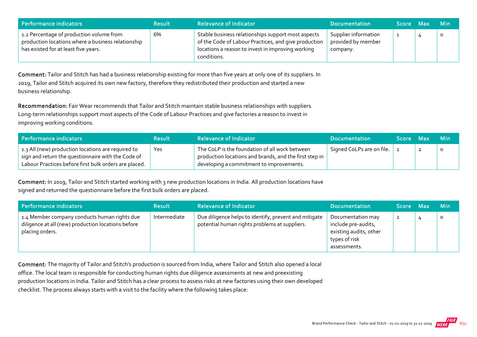| Performance indicators                                                                                                                 | <b>Result</b> | <b>Relevance of Indicator</b>                                                                                                                                                  | <b>Documentation</b>                                   | <b>Score</b> | Max | <b>Min</b> |
|----------------------------------------------------------------------------------------------------------------------------------------|---------------|--------------------------------------------------------------------------------------------------------------------------------------------------------------------------------|--------------------------------------------------------|--------------|-----|------------|
| 1.2 Percentage of production volume from<br>production locations where a business relationship<br>has existed for at least five years. | 6%            | Stable business relationships support most aspects<br>of the Code of Labour Practices, and give production<br>locations a reason to invest in improving working<br>conditions. | Supplier information<br>provided by member<br>company. |              |     | $\circ$    |

Comment: Tailor and Stitch has had a business relationship existing for more than five years at only one of its suppliers. In 2019, Tailor and Stitch acquired its own new factory, therefore they redistributed their production and started a new business relationship.

Recommendation: Fair Wear recommends that Tailor and Stitch maintain stable business relationships with suppliers. Long-term relationships support most aspects of the Code of Labour Practices and give factories a reason to invest in improving working conditions.

| Performance indicators                                                                                                                                            | <b>Result</b> | <b>Relevance of Indicator</b>                                                                                                                        | <b>Documentation</b>      | Score Max | <b>Min</b> |
|-------------------------------------------------------------------------------------------------------------------------------------------------------------------|---------------|------------------------------------------------------------------------------------------------------------------------------------------------------|---------------------------|-----------|------------|
| 1.3 All (new) production locations are required to<br>sign and return the questionnaire with the Code of<br>Labour Practices before first bulk orders are placed. | Yes           | The CoLP is the foundation of all work between<br>production locations and brands, and the first step in<br>developing a commitment to improvements. | Signed CoLPs are on file. |           |            |

Comment: In 2019, Tailor and Stitch started working with 3 new production locations in India. All production locations have signed and returned the questionnaire before the first bulk orders are placed.

| Performance indicators                                                                                                | <b>Result</b> | <b>Relevance of Indicator</b>                                                                          | <b>Documentation</b>                                                                                | Score Max | <b>Min</b> |
|-----------------------------------------------------------------------------------------------------------------------|---------------|--------------------------------------------------------------------------------------------------------|-----------------------------------------------------------------------------------------------------|-----------|------------|
| 1.4 Member company conducts human rights due<br>diligence at all (new) production locations before<br>placing orders. | Intermediate  | Due diligence helps to identify, prevent and mitigate<br>potential human rights problems at suppliers. | Documentation may<br>include pre-audits,<br>existing audits, other<br>types of risk<br>assessments. | 2         | $\circ$    |

Comment: The majority of Tailor and Stitch's production is sourced from India, where Tailor and Stitch also opened a local office. The local team is responsible for conducting human rights due diligence assessments at new and preexisting production locations in India. Tailor and Stitch has a clear process to assess risks at new factories using their own developed checklist. The process always starts with a visit to the facility where the following takes place: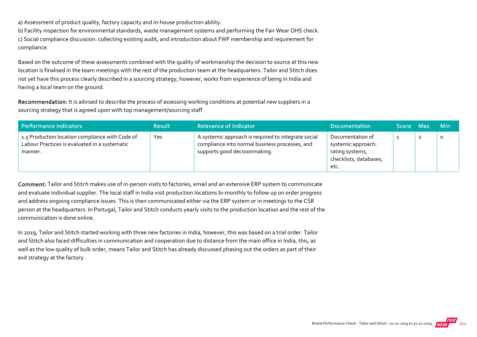a) Assessment of product quality, factory capacity and in‐house production ability.

b) Facility inspection for environmental standards, waste management systems and performing the Fair Wear OHS check. c) Social compliance discussion: collecting existing audit, and introduction about FWF membership and requirement for compliance.

Based on the outcome of these assessments combined with the quality of workmanship the decision to source at this new location is finalised in the team meetings with the rest of the production team at the headquarters. Tailor and Stitch does not yet have this process clearly described in a sourcing strategy, however, works from experience of being in India and having a local team on the ground.

Recommendation: It is advised to describe the process of assessing working conditions at potential new suppliers in a sourcing strategy that is agreed upon with top management/sourcing staff.

| Performance indicators                                                                                      | <b>Result</b> | <b>Relevance of Indicator</b>                                                                                                          | <b>Documentation</b>                                                                        | Score Max |   | Min     |
|-------------------------------------------------------------------------------------------------------------|---------------|----------------------------------------------------------------------------------------------------------------------------------------|---------------------------------------------------------------------------------------------|-----------|---|---------|
| 1.5 Production location compliance with Code of<br>Labour Practices is evaluated in a systematic<br>manner. | Yes           | A systemic approach is required to integrate social<br>compliance into normal business processes, and<br>supports good decisionmaking. | Documentation of<br>systemic approach:<br>rating systems,<br>checklists, databases,<br>etc. |           | ∸ | $\circ$ |

Comment: Tailor and Stitch makes use of in‐person visits to factories, email and an extensive ERP system to communicate and evaluate individual supplier. The local staff in India visit production locations bi-monthly to follow up on order progress and address ongoing compliance issues. This is then communicated either via the ERP system or in meetings to the CSR person at the headquarters. In Portugal, Tailor and Stitch conducts yearly visits to the production location and the rest of the communication is done online.

In 2019, Tailor and Stitch started working with three new factories in India, however, this was based on a trial order. Tailor and Stitch also faced difficulties in communication and cooperation due to distance from the main office in India, this, as well as the low quality of bulk order, means Tailor and Stitch has already discussed phasing out the orders as part of their exit strategy at the factory.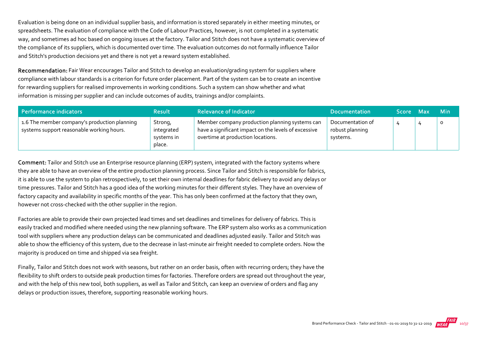Evaluation is being done on an individual supplier basis, and information is stored separately in either meeting minutes, or spreadsheets. The evaluation of compliance with the Code of Labour Practices, however, is not completed in a systematic way, and sometimes ad hoc based on ongoing issues at the factory. Tailor and Stitch does not have a systematic overview of the compliance of its suppliers, which is documented over time. The evaluation outcomes do not formally influence Tailor and Stitch's production decisions yet and there is not yet a reward system established.

Recommendation: Fair Wear encourages Tailor and Stitch to develop an evaluation/grading system for suppliers where compliance with labour standards is a criterion for future order placement. Part of the system can be to create an incentive for rewarding suppliers for realised improvements in working conditions. Such a system can show whether and what information is missing per supplier and can include outcomes of audits, trainings and/or complaints.

| Performance indicators                                                                    | <b>Result</b>                                 | <b>Relevance of Indicator</b>                                                                                                               | <b>Documentation</b>                            | Score Max | <b>Min</b> |
|-------------------------------------------------------------------------------------------|-----------------------------------------------|---------------------------------------------------------------------------------------------------------------------------------------------|-------------------------------------------------|-----------|------------|
| 1.6 The member company's production planning<br>systems support reasonable working hours. | Strong,<br>integrated<br>systems in<br>place. | Member company production planning systems can<br>have a significant impact on the levels of excessive<br>overtime at production locations. | Documentation of<br>robust planning<br>systems. |           | $\circ$    |

Comment: Tailor and Stitch use an Enterprise resource planning (ERP) system, integrated with the factory systems where they are able to have an overview of the entire production planning process. Since Tailor and Stitch is responsible for fabrics, it is able to use the system to plan retrospectively, to set their own internal deadlines for fabric delivery to avoid any delays or time pressures. Tailor and Stitch has a good idea of the working minutes for their different styles. They have an overview of factory capacity and availability in specific months of the year. This has only been confirmed at the factory that they own, however not cross-checked with the other supplier in the region.

Factories are able to provide their own projected lead times and set deadlines and timelines for delivery of fabrics. This is easily tracked and modified where needed using the new planning software. The ERP system also works as a communication tool with suppliers where any production delays can be communicated and deadlines adjusted easily. Tailor and Stitch was able to show the efficiency of this system, due to the decrease in last-minute air freight needed to complete orders. Now the majority is produced on time and shipped via sea freight.

Finally, Tailor and Stitch does not work with seasons, but rather on an order basis, often with recurring orders; they have the flexibility to shift orders to outside peak production times for factories. Therefore orders are spread out throughout the year, and with the help of this new tool, both suppliers, as well as Tailor and Stitch, can keep an overview of orders and flag any delays or production issues, therefore, supporting reasonable working hours.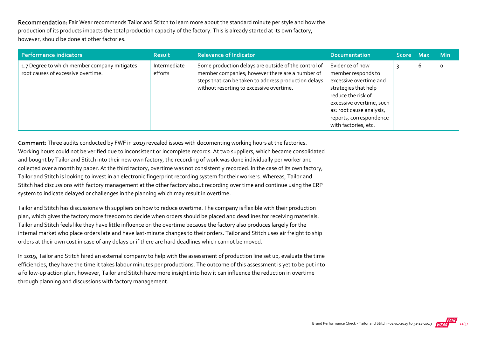Recommendation: Fair Wear recommends Tailor and Stitch to learn more about the standard minute per style and how the production of its products impacts the total production capacity of the factory. This is already started at its own factory, however, should be done at other factories.

| Performance indicators                                                             | <b>Result</b>           | <b>Relevance of Indicator</b>                                                                                                                                                                               | <b>Documentation</b>                                                                                                                                                                                                     | <b>Score</b> | <b>Max</b> | <b>Min</b> |
|------------------------------------------------------------------------------------|-------------------------|-------------------------------------------------------------------------------------------------------------------------------------------------------------------------------------------------------------|--------------------------------------------------------------------------------------------------------------------------------------------------------------------------------------------------------------------------|--------------|------------|------------|
| 1.7 Degree to which member company mitigates<br>root causes of excessive overtime. | Intermediate<br>efforts | Some production delays are outside of the control of<br>member companies; however there are a number of<br>steps that can be taken to address production delays<br>without resorting to excessive overtime. | Evidence of how<br>member responds to<br>excessive overtime and<br>strategies that help<br>reduce the risk of<br>excessive overtime, such<br>as: root cause analysis,<br>reports, correspondence<br>with factories, etc. |              | b          | O          |

Comment: Three audits conducted by FWF in 2019 revealed issues with documenting working hours at the factories. Working hours could not be verified due to inconsistent or incomplete records. At two suppliers, which became consolidated and bought by Tailor and Stitch into their new own factory, the recording of work was done individually per worker and collected over a month by paper. At the third factory, overtime was not consistently recorded. In the case of its own factory, Tailor and Stitch is looking to invest in an electronic fingerprint recording system for their workers. Whereas, Tailor and Stitch had discussions with factory management at the other factory about recording over time and continue using the ERP system to indicate delayed or challenges in the planning which may result in overtime.

Tailor and Stitch has discussions with suppliers on how to reduce overtime. The company is flexible with their production plan, which gives the factory more freedom to decide when orders should be placed and deadlines for receiving materials. Tailor and Stitch feels like they have little influence on the overtime because the factory also produces largely for the internal market who place orders late and have last-minute changes to their orders. Tailor and Stitch uses air freight to ship orders at their own cost in case of any delays or if there are hard deadlines which cannot be moved.

In 2019, Tailor and Stitch hired an external company to help with the assessment of production line set up, evaluate the time efficiencies, they have the time it takes labour minutes per productions. The outcome of this assessment is yet to be put into a follow‐up action plan, however, Tailor and Stitch have more insight into how it can influence the reduction in overtime through planning and discussions with factory management.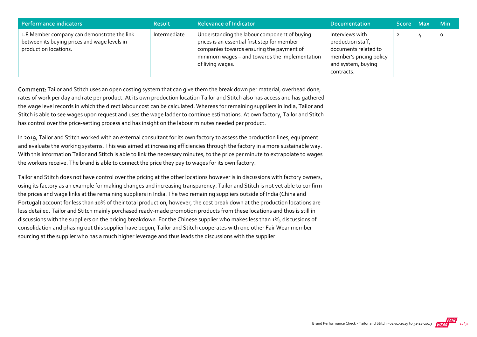| Performance indicators                                                                                               | <b>Result</b> | <b>Relevance of Indicator</b>                                                                                                                                                                                   | <b>Documentation</b>                                                                                                        | Score Max | <b>Min</b> |
|----------------------------------------------------------------------------------------------------------------------|---------------|-----------------------------------------------------------------------------------------------------------------------------------------------------------------------------------------------------------------|-----------------------------------------------------------------------------------------------------------------------------|-----------|------------|
| 1.8 Member company can demonstrate the link<br>between its buying prices and wage levels in<br>production locations. | Intermediate  | Understanding the labour component of buying<br>prices is an essential first step for member<br>companies towards ensuring the payment of<br>minimum wages - and towards the implementation<br>of living wages. | Interviews with<br>production staff,<br>documents related to<br>member's pricing policy<br>and system, buying<br>contracts. |           | O          |

Comment: Tailor and Stitch uses an open costing system that can give them the break down per material, overhead done, rates of work per day and rate per product. At its own production location Tailor and Stitch also has access and has gathered the wage level records in which the direct labour cost can be calculated. Whereas for remaining suppliers in India, Tailor and Stitch is able to see wages upon request and uses the wage ladder to continue estimations. At own factory, Tailor and Stitch has control over the price-setting process and has insight on the labour minutes needed per product.

In 2019, Tailor and Stitch worked with an external consultant for its own factory to assess the production lines, equipment and evaluate the working systems. This was aimed at increasing efficiencies through the factory in a more sustainable way. With this information Tailor and Stitch is able to link the necessary minutes, to the price per minute to extrapolate to wages the workers receive. The brand is able to connect the price they pay to wages for its own factory.

Tailor and Stitch does not have control over the pricing at the other locations however is in discussions with factory owners, using its factory as an example for making changes and increasing transparency. Tailor and Stitch is not yet able to confirm the prices and wage links at the remaining suppliers in India. The two remaining suppliers outside of India (China and Portugal) account for less than 10% of their total production, however, the cost break down at the production locations are less detailed. Tailor and Stitch mainly purchased ready‐made promotion products from these locations and thus is still in discussions with the suppliers on the pricing breakdown. For the Chinese supplier who makes less than 1%, discussions of consolidation and phasing out this supplier have begun, Tailor and Stitch cooperates with one other Fair Wear member sourcing at the supplier who has a much higher leverage and thus leads the discussions with the supplier.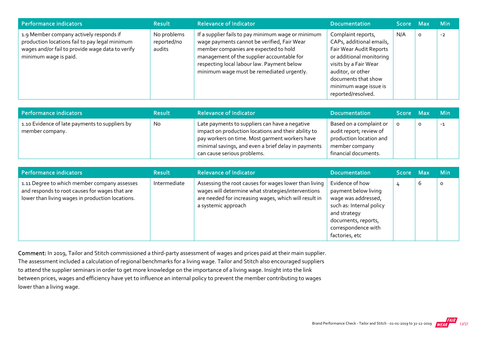| Performance indicators                                                                                                                                                 | <b>Result</b>                        | <b>Relevance of Indicator</b>                                                                                                                                                                                                                                                       | <b>Documentation</b>                                                                                                                                                                                                      | Score Max |         | <b>Min</b> |
|------------------------------------------------------------------------------------------------------------------------------------------------------------------------|--------------------------------------|-------------------------------------------------------------------------------------------------------------------------------------------------------------------------------------------------------------------------------------------------------------------------------------|---------------------------------------------------------------------------------------------------------------------------------------------------------------------------------------------------------------------------|-----------|---------|------------|
| 1.9 Member company actively responds if<br>production locations fail to pay legal minimum<br>wages and/or fail to provide wage data to verify<br>minimum wage is paid. | No problems<br>reported/no<br>audits | If a supplier fails to pay minimum wage or minimum<br>wage payments cannot be verified, Fair Wear<br>member companies are expected to hold<br>management of the supplier accountable for<br>respecting local labour law. Payment below<br>minimum wage must be remediated urgently. | Complaint reports,<br>CAPs, additional emails,<br>Fair Wear Audit Reports<br>or additional monitoring<br>visits by a Fair Wear<br>auditor, or other<br>documents that show<br>minimum wage issue is<br>reported/resolved. | N/A       | $\circ$ | $-2$       |

| Performance indicators                                            | <b>Result</b> | <b>Relevance of Indicator</b>                                                                                                                                                                                                                 | <b>Documentation</b>                                                                                                    | Score Max | <b>Min</b> |
|-------------------------------------------------------------------|---------------|-----------------------------------------------------------------------------------------------------------------------------------------------------------------------------------------------------------------------------------------------|-------------------------------------------------------------------------------------------------------------------------|-----------|------------|
| 1.10 Evidence of late payments to suppliers by<br>member company. | <b>No</b>     | Late payments to suppliers can have a negative<br>impact on production locations and their ability to<br>pay workers on time. Most garment workers have<br>minimal savings, and even a brief delay in payments<br>can cause serious problems. | Based on a complaint or<br>audit report; review of<br>production location and<br>member company<br>financial documents. |           | $-1$       |

| Performance indicators                                                                                                                             | <b>Result</b> | <b>Relevance of Indicator</b>                                                                                                                                                               | <b>Documentation</b>                                                                                                                                                       | Score Max |   | <b>Min</b> |
|----------------------------------------------------------------------------------------------------------------------------------------------------|---------------|---------------------------------------------------------------------------------------------------------------------------------------------------------------------------------------------|----------------------------------------------------------------------------------------------------------------------------------------------------------------------------|-----------|---|------------|
| 1.11 Degree to which member company assesses<br>and responds to root causes for wages that are<br>lower than living wages in production locations. | Intermediate  | Assessing the root causes for wages lower than living<br>wages will determine what strategies/interventions<br>are needed for increasing wages, which will result in<br>a systemic approach | Evidence of how<br>payment below living<br>wage was addressed,<br>such as: Internal policy<br>and strategy<br>documents, reports,<br>correspondence with<br>factories, etc |           | b | $\circ$    |

Comment: In 2019, Tailor and Stitch commissioned a third-party assessment of wages and prices paid at their main supplier. The assessment included a calculation of regional benchmarks for a living wage. Tailor and Stitch also encouraged suppliers to attend the supplier seminars in order to get more knowledge on the importance of a living wage. Insight into the link between prices, wages and efficiency have yet to influence an internal policy to prevent the member contributing to wages lower than a living wage.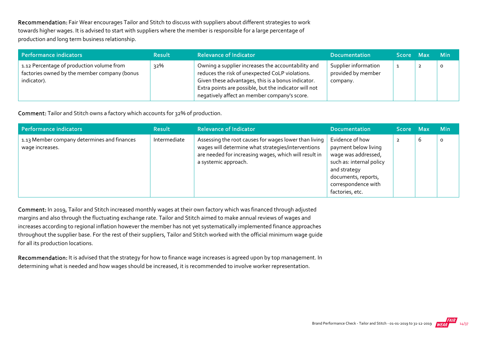Recommendation: Fair Wear encourages Tailor and Stitch to discuss with suppliers about different strategies to work towards higher wages. It is advised to start with suppliers where the member is responsible for a large percentage of production and long term business relationship.

| Performance indicators                                                                                   | <b>Result</b> | <b>Relevance of Indicator</b>                                                                                                                                                                                                                                        | <b>Documentation</b>                                   | Score Max | <b>Min</b> |
|----------------------------------------------------------------------------------------------------------|---------------|----------------------------------------------------------------------------------------------------------------------------------------------------------------------------------------------------------------------------------------------------------------------|--------------------------------------------------------|-----------|------------|
| 1.12 Percentage of production volume from<br>factories owned by the member company (bonus<br>indicator). | 32%           | Owning a supplier increases the accountability and<br>reduces the risk of unexpected CoLP violations.<br>Given these advantages, this is a bonus indicator.<br>Extra points are possible, but the indicator will not<br>negatively affect an member company's score. | Supplier information<br>provided by member<br>company. | <u>д.</u> | $\circ$    |

Comment: Tailor and Stitch owns a factory which accounts for 32% of production.

| Performance indicators                                         | <b>Result</b> | <b>Relevance of Indicator</b>                                                                                                                                                                | <b>Documentation</b>                                                                                                                                                        | Score Max      |   | <b>Min</b> |
|----------------------------------------------------------------|---------------|----------------------------------------------------------------------------------------------------------------------------------------------------------------------------------------------|-----------------------------------------------------------------------------------------------------------------------------------------------------------------------------|----------------|---|------------|
| 1.13 Member company determines and finances<br>wage increases. | Intermediate  | Assessing the root causes for wages lower than living<br>wages will determine what strategies/interventions<br>are needed for increasing wages, which will result in<br>a systemic approach. | Evidence of how<br>payment below living<br>wage was addressed,<br>such as: internal policy<br>and strategy<br>documents, reports,<br>correspondence with<br>factories, etc. | $\overline{2}$ | 6 | $\Omega$   |

Comment: In 2019, Tailor and Stitch increased monthly wages at their own factory which was financed through adjusted margins and also through the fluctuating exchange rate. Tailor and Stitch aimed to make annual reviews of wages and increases according to regional inflation however the member has not yet systematically implemented finance approaches throughout the supplier base. For the rest of their suppliers, Tailor and Stitch worked with the official minimum wage guide for all its production locations.

Recommendation: It is advised that the strategy for how to finance wage increases is agreed upon by top management. In determining what is needed and how wages should be increased, it is recommended to involve worker representation.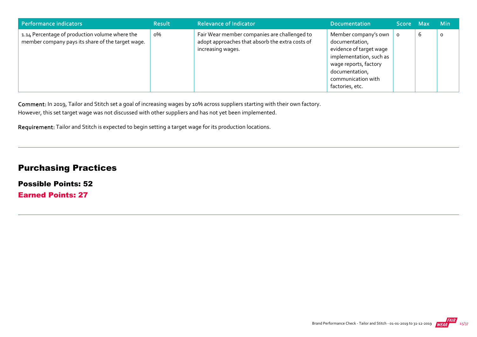| Performance indicators                                                                              | <b>Result</b> | <b>Relevance of Indicator</b>                                                                                        | <b>Documentation</b>                                                                                                                                                             | Score Max |   | <b>Min</b> |
|-----------------------------------------------------------------------------------------------------|---------------|----------------------------------------------------------------------------------------------------------------------|----------------------------------------------------------------------------------------------------------------------------------------------------------------------------------|-----------|---|------------|
| 1.14 Percentage of production volume where the<br>member company pays its share of the target wage. | о%            | Fair Wear member companies are challenged to<br>adopt approaches that absorb the extra costs of<br>increasing wages. | Member company's own<br>documentation,<br>evidence of target wage<br>implementation, such as<br>wage reports, factory<br>documentation,<br>communication with<br>factories, etc. | $\circ$   | b | $\circ$    |

Comment: In 2019, Tailor and Stitch set a goal of increasing wages by 10% across suppliers starting with their own factory. However, this set target wage was not discussed with other suppliers and has not yet been implemented.

Requirement: Tailor and Stitch is expected to begin setting a target wage for its production locations.

# Purchasing Practices

Possible Points: 52

Earned Points: 27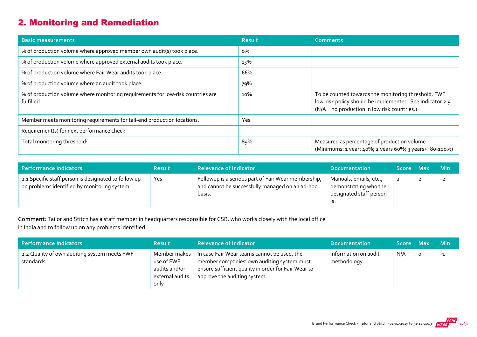# 2. Monitoring and Remediation

| <b>Basic measurements</b>                                                                     | <b>Result</b> | <b>Comments</b>                                                                                                                                                  |
|-----------------------------------------------------------------------------------------------|---------------|------------------------------------------------------------------------------------------------------------------------------------------------------------------|
| % of production volume where approved member own audit(s) took place.                         | $0\%$         |                                                                                                                                                                  |
| % of production volume where approved external audits took place.                             | 13%           |                                                                                                                                                                  |
| % of production volume where Fair Wear audits took place.                                     | 66%           |                                                                                                                                                                  |
| % of production volume where an audit took place.                                             | 79%           |                                                                                                                                                                  |
| % of production volume where monitoring requirements for low-risk countries are<br>fulfilled. | 10%           | To be counted towards the monitoring threshold, FWF<br>low-risk policy should be implemented. See indicator 2.9.<br>(N/A = no production in low risk countries.) |
| Member meets monitoring requirements for tail-end production locations.                       | Yes           |                                                                                                                                                                  |
| Requirement(s) for next performance check                                                     |               |                                                                                                                                                                  |
| Total monitoring threshold:                                                                   | 89%           | Measured as percentage of production volume<br>(Minimums: 1 year: 40%; 2 years 60%; 3 years+: 80-100%)                                                           |

| Performance indicators                                                                               | <b>Result</b> | <b>Relevance of Indicator</b>                                                                                    | <b>Documentation</b>                                                              | Score Max | <b>Min</b> |
|------------------------------------------------------------------------------------------------------|---------------|------------------------------------------------------------------------------------------------------------------|-----------------------------------------------------------------------------------|-----------|------------|
| 2.1 Specific staff person is designated to follow up<br>on problems identified by monitoring system. | Yes           | Followup is a serious part of Fair Wear membership,<br>and cannot be successfully managed on an ad-hoc<br>basis. | Manuals, emails, etc.,<br>demonstrating who the<br>designated staff person<br>15. |           | $-2$       |

Comment: Tailor and Stitch has a staff member in headquarters responsible for CSR, who works closely with the local office in India and to follow up on any problems identified.

| Performance indicators                                     | <b>Result</b>                                                          | <b>Relevance of Indicator</b>                                                                                                                                                    | <b>Documentation</b>                 | <b>Score</b> | - Max | <b>Min</b> |
|------------------------------------------------------------|------------------------------------------------------------------------|----------------------------------------------------------------------------------------------------------------------------------------------------------------------------------|--------------------------------------|--------------|-------|------------|
| 2.2 Quality of own auditing system meets FWF<br>standards. | Member makes<br>use of FWF<br>audits and/or<br>external audits<br>only | In case Fair Wear teams cannot be used, the<br>member companies' own auditing system must<br>ensure sufficient quality in order for Fair Wear to<br>approve the auditing system. | Information on audit<br>methodology. | N/A          | O     | $-1$       |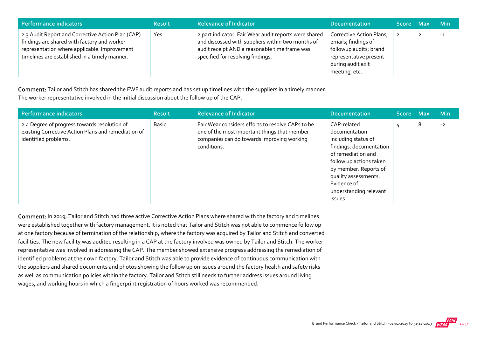| Performance indicators                                                                                                                                                                            | <b>Result</b> | <b>Relevance of Indicator</b>                                                                                                                                                                    | <b>Documentation</b>                                                                                                                      | Score Max | <b>Min</b> |
|---------------------------------------------------------------------------------------------------------------------------------------------------------------------------------------------------|---------------|--------------------------------------------------------------------------------------------------------------------------------------------------------------------------------------------------|-------------------------------------------------------------------------------------------------------------------------------------------|-----------|------------|
| 2.3 Audit Report and Corrective Action Plan (CAP)<br>findings are shared with factory and worker<br>representation where applicable. Improvement<br>timelines are established in a timely manner. | Yes           | 2 part indicator: Fair Wear audit reports were shared<br>and discussed with suppliers within two months of<br>audit receipt AND a reasonable time frame was<br>specified for resolving findings. | Corrective Action Plans,<br>emails; findings of<br>followup audits; brand<br>representative present<br>during audit exit<br>meeting, etc. |           | $-1$       |

Comment: Tailor and Stitch has shared the FWF audit reports and has set up timelines with the suppliers in a timely manner. The worker representative involved in the initial discussion about the follow up of the CAP.

| <b>Performance indicators</b>                                                                                               | <b>Result</b> | <b>Relevance of Indicator</b>                                                                                                                                  | <b>Documentation</b>                                                                                                                                                                                                                 | <b>Score</b> | <b>Max</b> | <b>Min</b> |
|-----------------------------------------------------------------------------------------------------------------------------|---------------|----------------------------------------------------------------------------------------------------------------------------------------------------------------|--------------------------------------------------------------------------------------------------------------------------------------------------------------------------------------------------------------------------------------|--------------|------------|------------|
| 2.4 Degree of progress towards resolution of<br>existing Corrective Action Plans and remediation of<br>identified problems. | <b>Basic</b>  | Fair Wear considers efforts to resolve CAPs to be<br>one of the most important things that member<br>companies can do towards improving working<br>conditions. | CAP-related<br>documentation<br>including status of<br>findings, documentation<br>of remediation and<br>follow up actions taken<br>by member. Reports of<br>quality assessments.<br>Evidence of<br>understanding relevant<br>issues. | 4            | 8          | $-2$       |

Comment: In 2019, Tailor and Stitch had three active Corrective Action Plans where shared with the factory and timelines were established together with factory management. It is noted that Tailor and Stitch was not able to commence follow up at one factory because of termination of the relationship, where the factory was acquired by Tailor and Stitch and converted facilities. The new facility was audited resulting in a CAP at the factory involved was owned by Tailor and Stitch. The worker representative was involved in addressing the CAP. The member showed extensive progress addressing the remediation of identified problems at their own factory. Tailor and Stitch was able to provide evidence of continuous communication with the suppliers and shared documents and photos showing the follow up on issues around the factory health and safety risks as well as communication policies within the factory. Tailor and Stitch still needs to further address issues around living wages, and working hours in which a fingerprint registration of hours worked was recommended.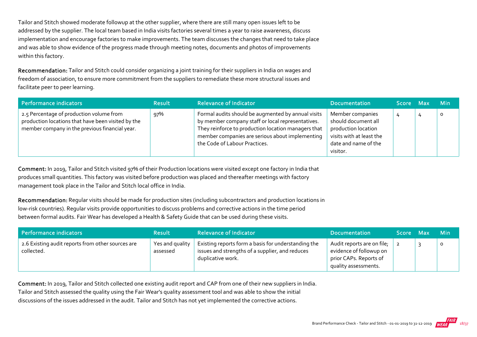Tailor and Stitch showed moderate followup at the other supplier, where there are still many open issues left to be addressed by the supplier. The local team based in India visits factories several times a year to raise awareness, discuss implementation and encourage factories to make improvements. The team discusses the changes that need to take place and was able to show evidence of the progress made through meeting notes, documents and photos of improvements within this factory.

Recommendation: Tailor and Stitch could consider organizing a joint training for their suppliers in India on wages and freedom of association, to ensure more commitment from the suppliers to remediate these more structural issues and facilitate peer to peer learning.

| Performance indicators                                                                                                                           | <b>Result</b> | <b>Relevance of Indicator</b>                                                                                                                                                                                                                      | <b>Documentation</b>                                                                                                           | Score Max |   | <b>Min</b> |
|--------------------------------------------------------------------------------------------------------------------------------------------------|---------------|----------------------------------------------------------------------------------------------------------------------------------------------------------------------------------------------------------------------------------------------------|--------------------------------------------------------------------------------------------------------------------------------|-----------|---|------------|
| 2.5 Percentage of production volume from<br>production locations that have been visited by the<br>member company in the previous financial year. | 97%           | Formal audits should be augmented by annual visits<br>by member company staff or local representatives.<br>They reinforce to production location managers that<br>member companies are serious about implementing<br>the Code of Labour Practices. | Member companies<br>should document all<br>production location<br>visits with at least the<br>date and name of the<br>visitor. | 4         | 4 | $\circ$    |

Comment: In 2019, Tailor and Stitch visited 97% of their Production locations were visited except one factory in India that produces small quantities. This factory was visited before production was placed and thereafter meetings with factory management took place in the Tailor and Stitch local office in India.

Recommendation: Regular visits should be made for production sites (including subcontractors and production locations in low-risk countries). Regular visits provide opportunities to discuss problems and corrective actions in the time period between formal audits. Fair Wear has developed a Health & Safety Guide that can be used during these visits.

| Performance indicators                                          | <b>Result</b>               | <b>Relevance of Indicator</b>                                                                                               | <b>Documentation</b>                                                                                    | <b>Score</b> | - Max | Min     |
|-----------------------------------------------------------------|-----------------------------|-----------------------------------------------------------------------------------------------------------------------------|---------------------------------------------------------------------------------------------------------|--------------|-------|---------|
| 2.6 Existing audit reports from other sources are<br>collected. | Yes and quality<br>assessed | Existing reports form a basis for understanding the<br>issues and strengths of a supplier, and reduces<br>duplicative work. | Audit reports are on file;<br>evidence of followup on<br>prior CAPs. Reports of<br>quality assessments. |              |       | $\circ$ |

Comment: In 2019, Tailor and Stitch collected one existing audit report and CAP from one of their new suppliers in India. Tailor and Stitch assessed the quality using the Fair Wear's quality assessment tool and was able to show the initial discussions of the issues addressed in the audit. Tailor and Stitch has not yet implemented the corrective actions.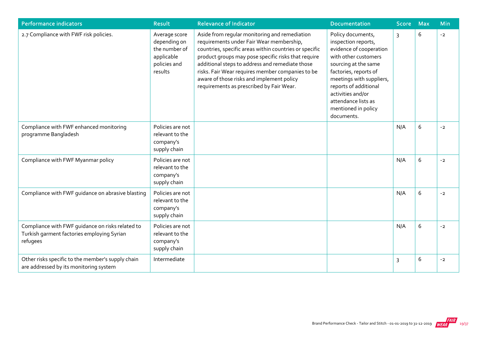| <b>Performance indicators</b>                                                                              | <b>Result</b>                                                                           | <b>Relevance of Indicator</b>                                                                                                                                                                                                                                                                                                                                                                              | <b>Documentation</b>                                                                                                                                                                                                                                                               | <b>Score</b>   | Max        | Min  |
|------------------------------------------------------------------------------------------------------------|-----------------------------------------------------------------------------------------|------------------------------------------------------------------------------------------------------------------------------------------------------------------------------------------------------------------------------------------------------------------------------------------------------------------------------------------------------------------------------------------------------------|------------------------------------------------------------------------------------------------------------------------------------------------------------------------------------------------------------------------------------------------------------------------------------|----------------|------------|------|
| 2.7 Compliance with FWF risk policies.                                                                     | Average score<br>depending on<br>the number of<br>applicable<br>policies and<br>results | Aside from regular monitoring and remediation<br>requirements under Fair Wear membership,<br>countries, specific areas within countries or specific<br>product groups may pose specific risks that require<br>additional steps to address and remediate those<br>risks. Fair Wear requires member companies to be<br>aware of those risks and implement policy<br>requirements as prescribed by Fair Wear. | Policy documents,<br>inspection reports,<br>evidence of cooperation<br>with other customers<br>sourcing at the same<br>factories, reports of<br>meetings with suppliers,<br>reports of additional<br>activities and/or<br>attendance lists as<br>mentioned in policy<br>documents. | $\overline{3}$ | 6          | $-2$ |
| Compliance with FWF enhanced monitoring<br>programme Bangladesh                                            | Policies are not<br>relevant to the<br>company's<br>supply chain                        |                                                                                                                                                                                                                                                                                                                                                                                                            |                                                                                                                                                                                                                                                                                    | N/A            | 6          | $-2$ |
| Compliance with FWF Myanmar policy                                                                         | Policies are not<br>relevant to the<br>company's<br>supply chain                        |                                                                                                                                                                                                                                                                                                                                                                                                            |                                                                                                                                                                                                                                                                                    | N/A            | $\sqrt{6}$ | $-2$ |
| Compliance with FWF guidance on abrasive blasting                                                          | Policies are not<br>relevant to the<br>company's<br>supply chain                        |                                                                                                                                                                                                                                                                                                                                                                                                            |                                                                                                                                                                                                                                                                                    | N/A            | 6          | $-2$ |
| Compliance with FWF guidance on risks related to<br>Turkish garment factories employing Syrian<br>refugees | Policies are not<br>relevant to the<br>company's<br>supply chain                        |                                                                                                                                                                                                                                                                                                                                                                                                            |                                                                                                                                                                                                                                                                                    | N/A            | 6          | $-2$ |
| Other risks specific to the member's supply chain<br>are addressed by its monitoring system                | Intermediate                                                                            |                                                                                                                                                                                                                                                                                                                                                                                                            |                                                                                                                                                                                                                                                                                    | 3              | 6          | $-2$ |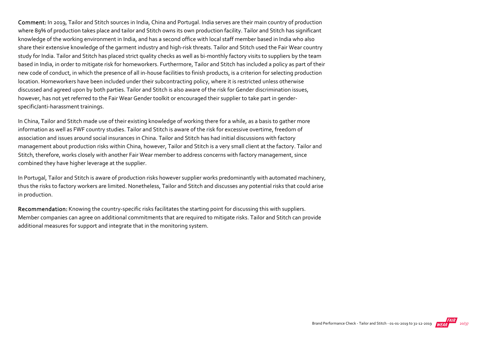Comment: In 2019, Tailor and Stitch sources in India, China and Portugal. India serves are their main country of production where 89% of production takes place and tailor and Stitch owns its own production facility. Tailor and Stitch has significant knowledge of the working environment in India, and has a second office with local staff member based in India who also share their extensive knowledge of the garment industry and high‐risk threats. Tailor and Stitch used the Fair Wear country study for India. Tailor and Stitch has placed strict quality checks as well as bi-monthly factory visits to suppliers by the team based in India, in order to mitigate risk for homeworkers. Furthermore, Tailor and Stitch has included a policy as part of their new code of conduct, in which the presence of all in‐house facilities to finish products, is a criterion for selecting production location. Homeworkers have been included under their subcontracting policy, where it is restricted unless otherwise discussed and agreed upon by both parties. Tailor and Stitch is also aware of the risk for Gender discrimination issues, however, has not yet referred to the Fair Wear Gender toolkit or encouraged their supplier to take part in genderspecific/anti‐harassment trainings.

In China, Tailor and Stitch made use of their existing knowledge of working there for a while, as a basis to gather more information as well as FWF country studies. Tailor and Stitch is aware of the risk for excessive overtime, freedom of association and issues around social insurances in China. Tailor and Stitch has had initial discussions with factory management about production risks within China, however, Tailor and Stitch is a very small client at the factory. Tailor and Stitch, therefore, works closely with another Fair Wear member to address concerns with factory management, since combined they have higher leverage at the supplier.

In Portugal, Tailor and Stitch is aware of production risks however supplier works predominantly with automated machinery, thus the risks to factory workers are limited. Nonetheless, Tailor and Stitch and discusses any potential risks that could arise in production.

Recommendation: Knowing the country-specific risks facilitates the starting point for discussing this with suppliers. Member companies can agree on additional commitments that are required to mitigate risks. Tailor and Stitch can provide additional measures for support and integrate that in the monitoring system.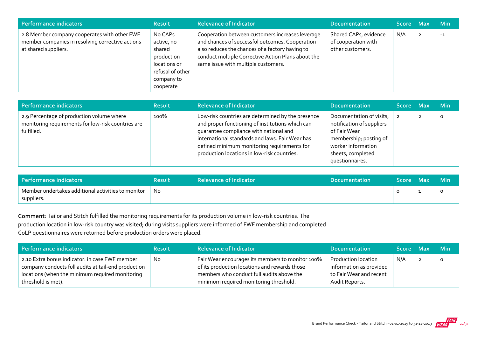| Performance indicators                                                                                                   | <b>Result</b>                                                                                                | <b>Relevance of Indicator</b>                                                                                                                                                                                                                       | <b>Documentation</b>                                             | 'Score Max |                | Min  |
|--------------------------------------------------------------------------------------------------------------------------|--------------------------------------------------------------------------------------------------------------|-----------------------------------------------------------------------------------------------------------------------------------------------------------------------------------------------------------------------------------------------------|------------------------------------------------------------------|------------|----------------|------|
| 2.8 Member company cooperates with other FWF<br>member companies in resolving corrective actions<br>at shared suppliers. | No CAPs<br>active, no<br>shared<br>production<br>locations or<br>refusal of other<br>company to<br>cooperate | Cooperation between customers increases leverage<br>and chances of successful outcomes. Cooperation<br>also reduces the chances of a factory having to<br>conduct multiple Corrective Action Plans about the<br>same issue with multiple customers. | Shared CAPs, evidence<br>of cooperation with<br>other customers. | N/A        | $\overline{2}$ | $-1$ |

| Performance indicators                                                                                        | <b>Result</b> | <b>Relevance of Indicator</b>                                                                                                                                                                                                                                                                    | <b>Documentation</b>                                                                                                                                          | Score Max | <b>Min</b> |
|---------------------------------------------------------------------------------------------------------------|---------------|--------------------------------------------------------------------------------------------------------------------------------------------------------------------------------------------------------------------------------------------------------------------------------------------------|---------------------------------------------------------------------------------------------------------------------------------------------------------------|-----------|------------|
| 2.9 Percentage of production volume where<br>monitoring requirements for low-risk countries are<br>fulfilled. | 100%          | Low-risk countries are determined by the presence<br>and proper functioning of institutions which can<br>quarantee compliance with national and<br>international standards and laws. Fair Wear has<br>defined minimum monitoring requirements for<br>production locations in low-risk countries. | Documentation of visits,<br>notification of suppliers<br>of Fair Wear<br>membership; posting of<br>worker information<br>sheets, completed<br>questionnaires. |           | o          |

| Performance indicators                                           | Result | <b>Relevance of Indicator</b> | <b>Documentation</b> | Score : | / Max | <b>Min</b> |
|------------------------------------------------------------------|--------|-------------------------------|----------------------|---------|-------|------------|
| Member undertakes additional activities to monitor<br>suppliers. | No     |                               |                      |         |       |            |

Comment: Tailor and Stitch fulfilled the monitoring requirements for its production volume in low‐risk countries. The production location in low‐risk country was visited; during visits suppliers were informed of FWF membership and completed CoLP questionnaires were returned before production orders were placed.

| Performance indicators                                                                                                                                                         | <b>Result</b> | <b>Relevance of Indicator</b>                                                                                                                                                            | <b>Documentation</b>                                                                               | Score Max | ⊟ Min   |
|--------------------------------------------------------------------------------------------------------------------------------------------------------------------------------|---------------|------------------------------------------------------------------------------------------------------------------------------------------------------------------------------------------|----------------------------------------------------------------------------------------------------|-----------|---------|
| 2.10 Extra bonus indicator: in case FWF member<br>company conducts full audits at tail-end production<br>locations (when the minimum required monitoring<br>threshold is met). | No.           | Fair Wear encourages its members to monitor 100%<br>of its production locations and rewards those<br>members who conduct full audits above the<br>minimum required monitoring threshold. | <b>Production location</b><br>information as provided<br>to Fair Wear and recent<br>Audit Reports. | N/A       | $\circ$ |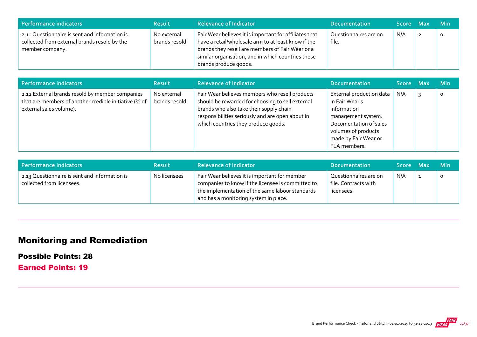| Performance indicators                                                                                           | <b>Result</b>                | <b>Relevance of Indicator</b>                                                                                                                                                                                                                    | <b>Documentation</b>           | <b>Score</b> | <b>Max</b>     | ⊟ Min   |
|------------------------------------------------------------------------------------------------------------------|------------------------------|--------------------------------------------------------------------------------------------------------------------------------------------------------------------------------------------------------------------------------------------------|--------------------------------|--------------|----------------|---------|
| 2.11 Questionnaire is sent and information is<br>collected from external brands resold by the<br>member company. | No external<br>brands resold | Fair Wear believes it is important for affiliates that<br>have a retail/wholesale arm to at least know if the<br>brands they resell are members of Fair Wear or a<br>similar organisation, and in which countries those<br>brands produce goods. | Questionnaires are on<br>file. | N/A          | $\overline{2}$ | $\circ$ |

| <b>Performance indicators</b>                                                                                                       | <b>Result</b>                | <b>Relevance of Indicator</b>                                                                                                                                                                                                            | <b>Documentation</b>                                                                                                                                                     | Score Max | <b>Min</b> |
|-------------------------------------------------------------------------------------------------------------------------------------|------------------------------|------------------------------------------------------------------------------------------------------------------------------------------------------------------------------------------------------------------------------------------|--------------------------------------------------------------------------------------------------------------------------------------------------------------------------|-----------|------------|
| 2.12 External brands resold by member companies<br>that are members of another credible initiative (% of<br>external sales volume). | No external<br>brands resold | Fair Wear believes members who resell products<br>should be rewarded for choosing to sell external<br>brands who also take their supply chain<br>responsibilities seriously and are open about in<br>which countries they produce goods. | External production data<br>in Fair Wear's<br>information<br>management system.<br>Documentation of sales<br>volumes of products<br>made by Fair Wear or<br>FLA members. | N/A       | O          |

| Performance indicators                                                     | <b>Result</b> | <b>Relevance of Indicator</b>                                                                                                                                                                  | <b>Documentation</b>                                        | Score Max | <b>Min</b> |
|----------------------------------------------------------------------------|---------------|------------------------------------------------------------------------------------------------------------------------------------------------------------------------------------------------|-------------------------------------------------------------|-----------|------------|
| 2.13 Questionnaire is sent and information is<br>collected from licensees. | No licensees  | Fair Wear believes it is important for member<br>companies to know if the licensee is committed to<br>the implementation of the same labour standards<br>and has a monitoring system in place. | Questionnaires are on<br>file. Contracts with<br>licensees. | N/A       |            |

# Monitoring and Remediation

Possible Points: 28

Earned Points: 19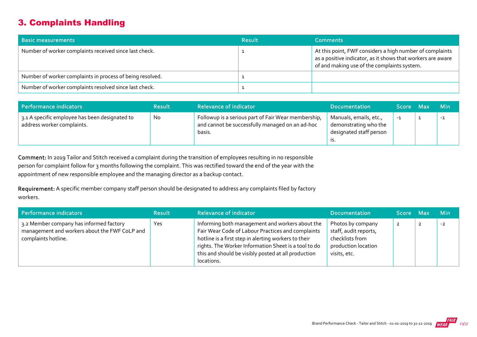# 3. Complaints Handling

| <b>Basic measurements</b>                                 | <b>Result</b> | <b>Comments</b>                                                                                                                                                        |
|-----------------------------------------------------------|---------------|------------------------------------------------------------------------------------------------------------------------------------------------------------------------|
| Number of worker complaints received since last check.    |               | At this point, FWF considers a high number of complaints<br>as a positive indicator, as it shows that workers are aware<br>of and making use of the complaints system. |
| Number of worker complaints in process of being resolved. |               |                                                                                                                                                                        |
| Number of worker complaints resolved since last check.    |               |                                                                                                                                                                        |

| Performance indicators                                                       | <b>Result</b> | <b>Relevance of Indicator</b>                                                                                    | <b>Documentation</b>                                                              | Score Max | <b>Min</b> |
|------------------------------------------------------------------------------|---------------|------------------------------------------------------------------------------------------------------------------|-----------------------------------------------------------------------------------|-----------|------------|
| 3.1 A specific employee has been designated to<br>address worker complaints. | No            | Followup is a serious part of Fair Wear membership,<br>and cannot be successfully managed on an ad-hoc<br>basis. | Manuals, emails, etc.,<br>demonstrating who the<br>designated staff person<br>IS. | $-1$      | $-1$       |

Comment: In 2019 Tailor and Stitch received a complaint during the transition of employees resulting in no responsible person for complaint follow for 3 months following the complaint. This was rectified toward the end of the year with the appointment of new responsible employee and the managing director as a backup contact.

Requirement: A specific member company staff person should be designated to address any complaints filed by factory workers.

| Performance indicators                                                                                          | <b>Result</b> | <b>Relevance of Indicator</b>                                                                                                                                                                                                                                                             | <b>Documentation</b>                                                                                 | Score Max | <b>Min</b> |
|-----------------------------------------------------------------------------------------------------------------|---------------|-------------------------------------------------------------------------------------------------------------------------------------------------------------------------------------------------------------------------------------------------------------------------------------------|------------------------------------------------------------------------------------------------------|-----------|------------|
| 3.2 Member company has informed factory<br>management and workers about the FWF CoLP and<br>complaints hotline. | Yes           | Informing both management and workers about the<br>Fair Wear Code of Labour Practices and complaints<br>hotline is a first step in alerting workers to their<br>rights. The Worker Information Sheet is a tool to do<br>this and should be visibly posted at all production<br>locations. | Photos by company<br>staff, audit reports,<br>checklists from<br>production location<br>visits, etc. | ∠         | $-2$       |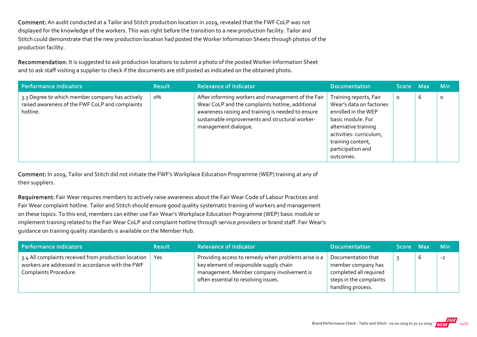Comment: An audit conducted at a Tailor and Stitch production location in 2019, revealed that the FWF CoLP was not displayed for the knowledge of the workers. This was right before the transition to a new production facility. Tailor and Stitch could demonstrate that the new production location had posted the Worker Information Sheets through photos of the production facility.

Recommendation: It is suggested to ask production locations to submit a photo of the posted Worker Information Sheet and to ask staff visiting a supplier to check if the documents are still posted as indicated on the obtained photo.

| Performance indicators                                                                                         | <b>Result</b> | <b>Relevance of Indicator</b>                                                                                                                                                                                                           | <b>Documentation</b>                                                                                                                                                                                     | Score Max |   | <b>Min</b> |
|----------------------------------------------------------------------------------------------------------------|---------------|-----------------------------------------------------------------------------------------------------------------------------------------------------------------------------------------------------------------------------------------|----------------------------------------------------------------------------------------------------------------------------------------------------------------------------------------------------------|-----------|---|------------|
| 3.3 Degree to which member company has actively<br>raised awareness of the FWF CoLP and complaints<br>hotline. | о%            | After informing workers and management of the Fair<br>Wear CoLP and the complaints hotline, additional<br>awareness raising and training is needed to ensure<br>sustainable improvements and structural worker-<br>management dialogue. | Training reports, Fair<br>Wear's data on factories<br>enrolled in the WEP<br>basic module. For<br>alternative training<br>activities: curriculum,<br>training content,<br>participation and<br>outcomes. | $\circ$   | 6 | 0          |

Comment: In 2019, Tailor and Stitch did not initiate the FWF's Workplace Education Programme (WEP) training at any of their suppliers.

Requirement: Fair Wear requires members to actively raise awareness about the Fair Wear Code of Labour Practices and Fair Wear complaint hotline. Tailor and Stitch should ensure good quality systematic training of workers and management on these topics. To this end, members can either use Fair Wear's Workplace Education Programme (WEP) basic module or implement training related to the Fair Wear CoLP and complaint hotline through service providers or brand staff. Fair Wear's guidance on training quality standards is available on the Member Hub.

| Performance indicators                                                                                                            | <b>Result</b> | <b>Relevance of Indicator</b>                                                                                                                                                       | <b>Documentation</b>                                                                                               | Score Max |          | — Min |
|-----------------------------------------------------------------------------------------------------------------------------------|---------------|-------------------------------------------------------------------------------------------------------------------------------------------------------------------------------------|--------------------------------------------------------------------------------------------------------------------|-----------|----------|-------|
| 3.4 All complaints received from production location<br>workers are addressed in accordance with the FWF<br>Complaints Procedure. | Yes           | Providing access to remedy when problems arise is a<br>key element of responsible supply chain<br>management. Member company involvement is<br>often essential to resolving issues. | Documentation that<br>member company has<br>completed all required<br>steps in the complaints<br>handling process. |           | <b>U</b> | -2    |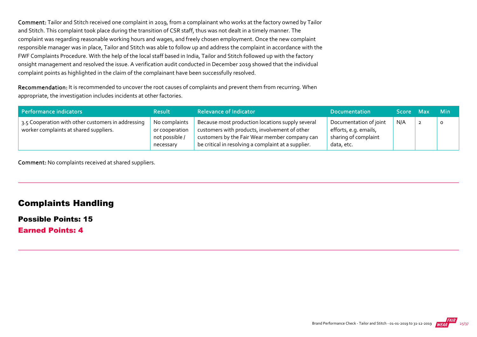Comment: Tailor and Stitch received one complaint in 2019, from a complainant who works at the factory owned by Tailor and Stitch. This complaint took place during the transition of CSR staff, thus was not dealt in a timely manner. The complaint was regarding reasonable working hours and wages, and freely chosen employment. Once the new complaint responsible manager was in place, Tailor and Stitch was able to follow up and address the complaint in accordance with the FWF Complaints Procedure. With the help of the local staff based in India, Tailor and Stitch followed up with the factory onsight management and resolved the issue. A verification audit conducted in December 2019 showed that the individual complaint points as highlighted in the claim of the complainant have been successfully resolved.

Recommendation: It is recommended to uncover the root causes of complaints and prevent them from recurring. When appropriate, the investigation includes incidents at other factories.

| Performance indicators                                                                       | <b>Result</b>                                                  | <b>Relevance of Indicator</b>                                                                                                                                                                             | <b>Documentation</b>                                                                  | Score Max |   | <b>Min</b> |
|----------------------------------------------------------------------------------------------|----------------------------------------------------------------|-----------------------------------------------------------------------------------------------------------------------------------------------------------------------------------------------------------|---------------------------------------------------------------------------------------|-----------|---|------------|
| 3.5 Cooperation with other customers in addressing<br>worker complaints at shared suppliers. | No complaints<br>or cooperation<br>not possible /<br>necessary | Because most production locations supply several<br>customers with products, involvement of other<br>customers by the Fair Wear member company can<br>be critical in resolving a complaint at a supplier. | Documentation of joint<br>efforts, e.g. emails,<br>sharing of complaint<br>data, etc. | N/A       | ▴ | $\circ$    |

Comment: No complaints received at shared suppliers.

## Complaints Handling

#### Possible Points: 15

Earned Points: 4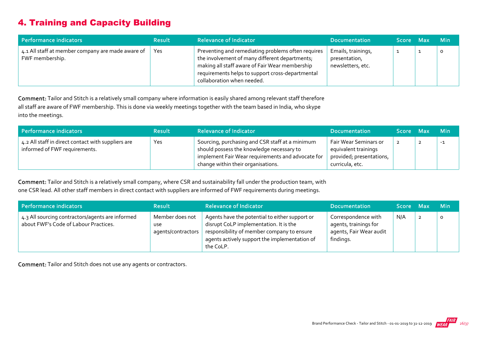# 4. Training and Capacity Building

| Performance indicators                                               | <b>Result</b> | <b>Relevance of Indicator</b>                                                                                                                                                                                                            | <b>Documentation</b>                                     | Score Max | <b>Min</b> |
|----------------------------------------------------------------------|---------------|------------------------------------------------------------------------------------------------------------------------------------------------------------------------------------------------------------------------------------------|----------------------------------------------------------|-----------|------------|
| 4.1 All staff at member company are made aware of<br>FWF membership. | Yes           | Preventing and remediating problems often requires<br>the involvement of many different departments;<br>making all staff aware of Fair Wear membership<br>requirements helps to support cross-departmental<br>collaboration when needed. | Emails, trainings,<br>presentation,<br>newsletters, etc. |           | O          |

Comment: Tailor and Stitch is a relatively small company where information is easily shared among relevant staff therefore all staff are aware of FWF membership. This is done via weekly meetings together with the team based in India, who skype into the meetings.

| Performance indicators                                                              | <b>Result</b> | <b>Relevance of Indicator</b>                                                                                                                                                           | <b>Documentation</b>                                                                         | Score Max | <b>Min</b> |
|-------------------------------------------------------------------------------------|---------------|-----------------------------------------------------------------------------------------------------------------------------------------------------------------------------------------|----------------------------------------------------------------------------------------------|-----------|------------|
| 4.2 All staff in direct contact with suppliers are<br>informed of FWF requirements. | Yes           | Sourcing, purchasing and CSR staff at a minimum<br>should possess the knowledge necessary to<br>implement Fair Wear requirements and advocate for<br>change within their organisations. | Fair Wear Seminars or<br>equivalent trainings<br>provided; presentations,<br>curricula, etc. |           | $-1$       |

Comment: Tailor and Stitch is a relatively small company, where CSR and sustainability fall under the production team, with one CSR lead. All other staff members in direct contact with suppliers are informed of FWF requirements during meetings.

| Performance indicators                                                                    | <b>Result</b>                                       | <b>Relevance of Indicator</b>                                                                                                                                                                        | <b>Documentation</b>                                                                 | Score Max |                | <b>Min</b> |
|-------------------------------------------------------------------------------------------|-----------------------------------------------------|------------------------------------------------------------------------------------------------------------------------------------------------------------------------------------------------------|--------------------------------------------------------------------------------------|-----------|----------------|------------|
| 4.3 All sourcing contractors/agents are informed<br>about FWF's Code of Labour Practices. | Member does not<br><b>use</b><br>agents/contractors | Agents have the potential to either support or<br>disrupt CoLP implementation. It is the<br>responsibility of member company to ensure<br>agents actively support the implementation of<br>the CoLP. | Correspondence with<br>agents, trainings for<br>agents, Fair Wear audit<br>findings. | N/A       | $\overline{2}$ |            |

Comment: Tailor and Stitch does not use any agents or contractors.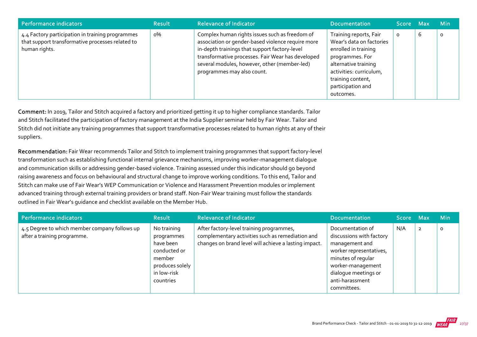| Performance indicators                                                                                                | <b>Result</b> | <b>Relevance of Indicator</b>                                                                                                                                                                                                                                                           | <b>Documentation</b>                                                                                                                                                                                    | Score Max |   | <b>Min</b> |
|-----------------------------------------------------------------------------------------------------------------------|---------------|-----------------------------------------------------------------------------------------------------------------------------------------------------------------------------------------------------------------------------------------------------------------------------------------|---------------------------------------------------------------------------------------------------------------------------------------------------------------------------------------------------------|-----------|---|------------|
| 4.4 Factory participation in training programmes<br>that support transformative processes related to<br>human rights. | о%            | Complex human rights issues such as freedom of<br>association or gender-based violence require more<br>in-depth trainings that support factory-level<br>transformative processes. Fair Wear has developed<br>several modules, however, other (member-led)<br>programmes may also count. | Training reports, Fair<br>Wear's data on factories<br>enrolled in training<br>programmes. For<br>alternative training<br>activities: curriculum,<br>training content,<br>participation and<br>outcomes. | O         | ь | 0          |

Comment: In 2019, Tailor and Stitch acquired a factory and prioritized getting it up to higher compliance standards. Tailor and Stitch facilitated the participation of factory management at the India Supplier seminar held by Fair Wear. Tailor and Stitch did not initiate any training programmes that support transformative processes related to human rights at any of their suppliers.

Recommendation: Fair Wear recommends Tailor and Stitch to implement training programmes that support factory-level transformation such as establishing functional internal grievance mechanisms, improving worker‐management dialogue and communication skills or addressing gender-based violence. Training assessed under this indicator should go beyond raising awareness and focus on behavioural and structural change to improve working conditions. To this end, Tailor and Stitch can make use of Fair Wear's WEP Communication or Violence and Harassment Prevention modules or implement advanced training through external training providers or brand staff. Non-Fair Wear training must follow the standards outlined in Fair Wear's guidance and checklist available on the Member Hub.

| Performance indicators                                                       | <b>Result</b>                                                                                                   | <b>Relevance of Indicator</b>                                                                                                                         | <b>Documentation</b>                                                                                                                                                                           | Score Max |                | <b>Min</b> |
|------------------------------------------------------------------------------|-----------------------------------------------------------------------------------------------------------------|-------------------------------------------------------------------------------------------------------------------------------------------------------|------------------------------------------------------------------------------------------------------------------------------------------------------------------------------------------------|-----------|----------------|------------|
| 4.5 Degree to which member company follows up<br>after a training programme. | No training<br>programmes<br>have been<br>conducted or<br>member<br>produces solely<br>in low-risk<br>countries | After factory-level training programmes,<br>complementary activities such as remediation and<br>changes on brand level will achieve a lasting impact. | Documentation of<br>discussions with factory<br>management and<br>worker representatives,<br>minutes of regular<br>worker-management<br>dialogue meetings or<br>anti-harassment<br>committees. | N/A       | $\overline{2}$ | $\circ$    |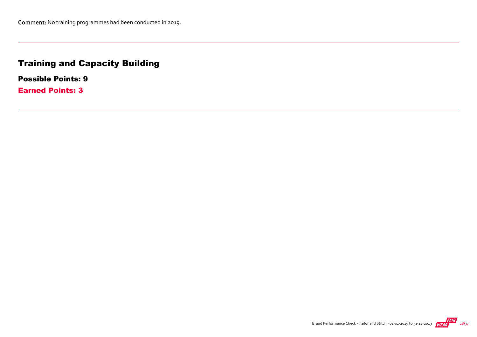# Training and Capacity Building

Possible Points: 9

Earned Points: 3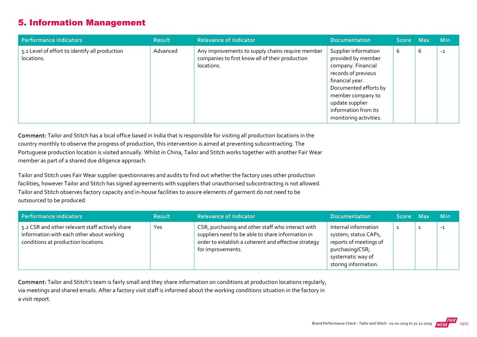## 5. Information Management

| Performance indicators                                       | <b>Result</b> | <b>Relevance of Indicator</b>                                                                                     | <b>Documentation</b>                                                                                                                                                                                                          | Score Max |   | <b>Min</b> |
|--------------------------------------------------------------|---------------|-------------------------------------------------------------------------------------------------------------------|-------------------------------------------------------------------------------------------------------------------------------------------------------------------------------------------------------------------------------|-----------|---|------------|
| 5.1 Level of effort to identify all production<br>locations. | Advanced      | Any improvements to supply chains require member<br>companies to first know all of their production<br>locations. | Supplier information<br>provided by member<br>company. Financial<br>records of previous<br>financial year.<br>Documented efforts by<br>member company to<br>update supplier<br>information from its<br>monitoring activities. | b         | 6 | $-2$       |

Comment: Tailor and Stitch has a local office based in India that is responsible for visiting all production locations in the country monthly to observe the progress of production, this intervention is aimed at preventing subcontracting. The Portuguese production location is visited annually. Whilst in China, Tailor and Stitch works together with another Fair Wear member as part of a shared due diligence approach.

Tailor and Stitch uses Fair Wear supplier questionnaires and audits to find out whether the factory uses other production facilities, however Tailor and Stitch has signed agreements with suppliers that unauthorised subcontracting is not allowed. Tailor and Stitch observes factory capacity and in‐house facilities to assure elements of garment do not need to be outsourced to be produced.

| Performance indicators                                                                                                              | <b>Result</b> | <b>Relevance of Indicator</b>                                                                                                                                                       | <b>Documentation</b>                                                                                                                   | Score Max | <b>Min</b> |
|-------------------------------------------------------------------------------------------------------------------------------------|---------------|-------------------------------------------------------------------------------------------------------------------------------------------------------------------------------------|----------------------------------------------------------------------------------------------------------------------------------------|-----------|------------|
| 5.2 CSR and other relevant staff actively share<br>information with each other about working<br>conditions at production locations. | Yes           | CSR, purchasing and other staff who interact with<br>suppliers need to be able to share information in<br>order to establish a coherent and effective strategy<br>for improvements. | Internal information<br>system; status CAPs,<br>reports of meetings of<br>purchasing/CSR;<br>systematic way of<br>storing information. |           | $-1$       |

Comment: Tailor and Stitch's team is fairly small and they share information on conditions at production locations regularly, via meetings and shared emails. After a factory visit staff is informed about the working conditions situation in the factory in a visit report.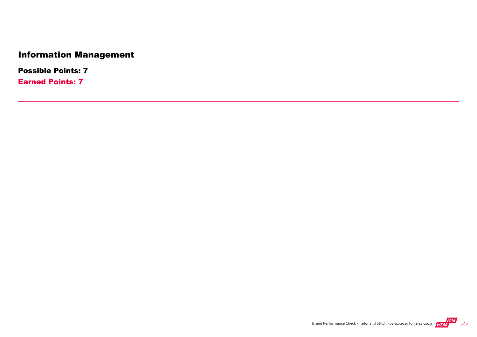# Information Management

Possible Points: 7

Earned Points: 7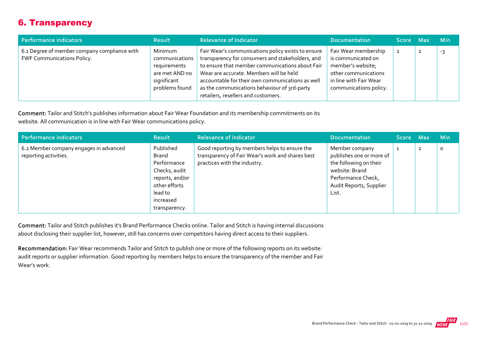# 6. Transparency

| Performance indicators                                                     | <b>Result</b>                                                                                | <b>Relevance of Indicator</b>                                                                                                                                                                                                                                                                                                                   | <b>Documentation</b>                                                                                                                        | Score Max | <b>Min</b> |
|----------------------------------------------------------------------------|----------------------------------------------------------------------------------------------|-------------------------------------------------------------------------------------------------------------------------------------------------------------------------------------------------------------------------------------------------------------------------------------------------------------------------------------------------|---------------------------------------------------------------------------------------------------------------------------------------------|-----------|------------|
| 6.1 Degree of member company compliance with<br>FWF Communications Policy. | Minimum<br>communications<br>requirements<br>are met AND no<br>significant<br>problems found | Fair Wear's communications policy exists to ensure<br>transparency for consumers and stakeholders, and<br>to ensure that member communications about Fair<br>Wear are accurate. Members will be held<br>accountable for their own communications as well<br>as the communications behaviour of 3rd-party<br>retailers, resellers and customers. | Fair Wear membership<br>is communicated on<br>member's website;<br>other communications<br>in line with Fair Wear<br>communications policy. |           | -2         |

Comment: Tailor and Stitch's publishes information about Fair Wear Foundation and its membership commitments on its website. All communication is in line with Fair Wear communications policy.

| Performance indicators                                          | <b>Result</b>                                                                                                                          | <b>Relevance of Indicator</b>                                                                                                     | <b>Documentation</b>                                                                                                                             | Score Max |                | <b>Min</b> |
|-----------------------------------------------------------------|----------------------------------------------------------------------------------------------------------------------------------------|-----------------------------------------------------------------------------------------------------------------------------------|--------------------------------------------------------------------------------------------------------------------------------------------------|-----------|----------------|------------|
| 6.2 Member company engages in advanced<br>reporting activities. | Published<br><b>Brand</b><br>Performance<br>Checks, audit<br>reports, and/or<br>other efforts<br>lead to<br>increased<br>transparency. | Good reporting by members helps to ensure the<br>transparency of Fair Wear's work and shares best<br>practices with the industry. | Member company<br>publishes one or more of<br>the following on their<br>website: Brand<br>Performance Check,<br>Audit Reports, Supplier<br>List. |           | $\overline{2}$ | 0          |

Comment: Tailor and Stitch publishes it's Brand Performance Checks online. Tailor and Stitch is having internal discussions about disclosing their supplier list, however, still has concerns over competitors having direct access to their suppliers.

Recommendation: Fair Wear recommends Tailor and Stitch to publish one or more of the following reports on its website: audit reports or supplier information. Good reporting by members helps to ensure the transparency of the member and Fair Wear's work.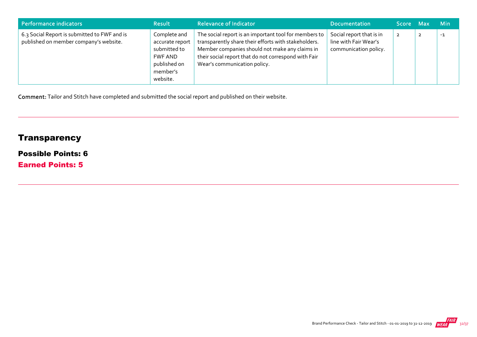| Performance indicators                                                                 | <b>Result</b>                                                                                      | <b>Relevance of Indicator</b>                                                                                                                                                                                                                           | <b>Documentation</b>                                                       | Score Max      | <b>Min</b> |
|----------------------------------------------------------------------------------------|----------------------------------------------------------------------------------------------------|---------------------------------------------------------------------------------------------------------------------------------------------------------------------------------------------------------------------------------------------------------|----------------------------------------------------------------------------|----------------|------------|
| 6.3 Social Report is submitted to FWF and is<br>published on member company's website. | Complete and<br>accurate report<br>submitted to<br>FWF AND<br>published on<br>member's<br>website. | The social report is an important tool for members to<br>transparently share their efforts with stakeholders.<br>Member companies should not make any claims in<br>their social report that do not correspond with Fair<br>Wear's communication policy. | Social report that is in<br>line with Fair Wear's<br>communication policy. | $\overline{2}$ | $-1$       |

Comment: Tailor and Stitch have completed and submitted the social report and published on their website.

# **Transparency**

## Possible Points: 6

Earned Points: 5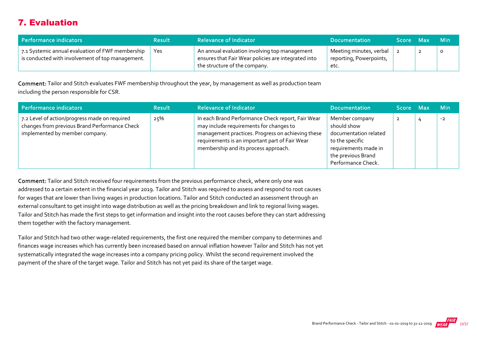# 7. Evaluation

| Performance indicators                                                                               | <b>Result</b> | <b>Relevance of Indicator</b>                                                                                                         | <b>Documentation</b>                                       | Score Max |   | – Min |
|------------------------------------------------------------------------------------------------------|---------------|---------------------------------------------------------------------------------------------------------------------------------------|------------------------------------------------------------|-----------|---|-------|
| 7.1 Systemic annual evaluation of FWF membership<br>is conducted with involvement of top management. | Yes           | An annual evaluation involving top management<br>ensures that Fair Wear policies are integrated into<br>the structure of the company. | Meeting minutes, verbal<br>reporting, Powerpoints,<br>etc. |           | ▴ |       |

Comment: Tailor and Stitch evaluates FWF membership throughout the year, by management as well as production team including the person responsible for CSR.

| Performance indicators                                                                                                           | <b>Result</b> | <b>Relevance of Indicator</b>                                                                                                                                                                                                               | <b>Documentation</b>                                                                                                                          | Score Max | <b>Min</b> |
|----------------------------------------------------------------------------------------------------------------------------------|---------------|---------------------------------------------------------------------------------------------------------------------------------------------------------------------------------------------------------------------------------------------|-----------------------------------------------------------------------------------------------------------------------------------------------|-----------|------------|
| 7.2 Level of action/progress made on required<br>changes from previous Brand Performance Check<br>implemented by member company. | 25%           | In each Brand Performance Check report, Fair Wear<br>may include requirements for changes to<br>management practices. Progress on achieving these<br>requirements is an important part of Fair Wear<br>membership and its process approach. | Member company<br>should show<br>documentation related<br>to the specific<br>requirements made in<br>the previous Brand<br>Performance Check. | ∠         | $-2$       |

Comment: Tailor and Stitch received four requirements from the previous performance check, where only one was addressed to a certain extent in the financial year 2019. Tailor and Stitch was required to assess and respond to root causes for wages that are lower than living wages in production locations. Tailor and Stitch conducted an assessment through an external consultant to get insight into wage distribution as well as the pricing breakdown and link to regional living wages. Tailor and Stitch has made the first steps to get information and insight into the root causes before they can start addressing them together with the factory management.

Tailor and Stitch had two other wage‐related requirements, the first one required the member company to determines and finances wage increases which has currently been increased based on annual inflation however Tailor and Stitch has not yet systematically integrated the wage increases into a company pricing policy. Whilst the second requirement involved the payment of the share of the target wage. Tailor and Stitch has not yet paid its share of the target wage.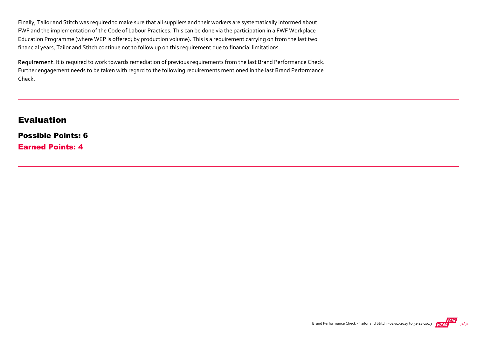Finally, Tailor and Stitch was required to make sure that all suppliers and their workers are systematically informed about FWF and the implementation of the Code of Labour Practices. This can be done via the participation in a FWF Workplace Education Programme (where WEP is offered; by production volume). This is a requirement carrying on from the last two financial years, Tailor and Stitch continue not to follow up on this requirement due to financial limitations.

Requirement: It is required to work towards remediation of previous requirements from the last Brand Performance Check. Further engagement needs to be taken with regard to the following requirements mentioned in the last Brand Performance Check.

## Evaluation

Possible Points: 6 Earned Points: 4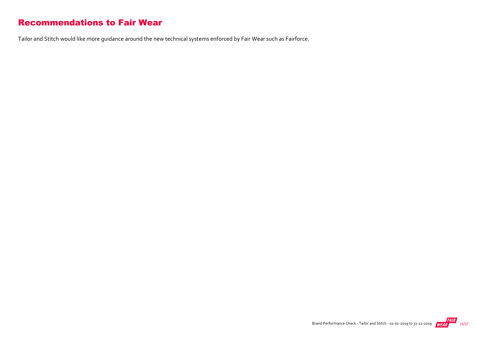## Recommendations to Fair Wear

Tailor and Stitch would like more guidance around the new technical systems enforced by Fair Wear such as Fairforce.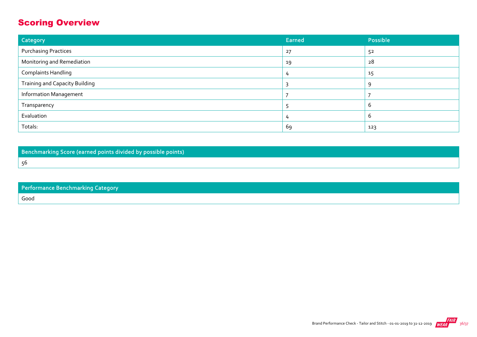# Scoring Overview

| Category                              | <b>Earned</b> | Possible |
|---------------------------------------|---------------|----------|
| <b>Purchasing Practices</b>           | 27            | 52       |
| Monitoring and Remediation            | 19            | 28       |
| <b>Complaints Handling</b>            | 4             | 15       |
| <b>Training and Capacity Building</b> |               | Q        |
| <b>Information Management</b>         |               |          |
| Transparency                          |               | b        |
| Evaluation                            | 4             | $\sigma$ |
| Totals:                               | 69            | 123      |

Benchmarking Score (earned points divided by possible points) 56

| <b>Performance Benchmarking Category</b> |  |
|------------------------------------------|--|
| Good                                     |  |